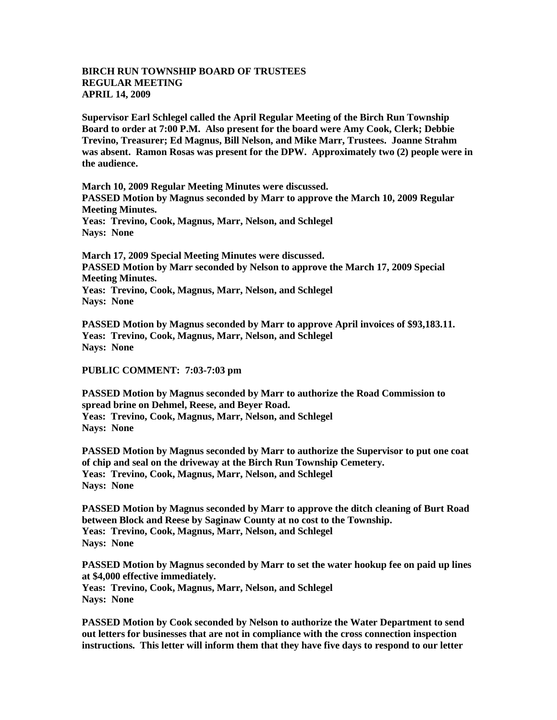## **BIRCH RUN TOWNSHIP BOARD OF TRUSTEES REGULAR MEETING APRIL 14, 2009**

**Supervisor Earl Schlegel called the April Regular Meeting of the Birch Run Township Board to order at 7:00 P.M. Also present for the board were Amy Cook, Clerk; Debbie Trevino, Treasurer; Ed Magnus, Bill Nelson, and Mike Marr, Trustees. Joanne Strahm was absent. Ramon Rosas was present for the DPW. Approximately two (2) people were in the audience.** 

**March 10, 2009 Regular Meeting Minutes were discussed. PASSED Motion by Magnus seconded by Marr to approve the March 10, 2009 Regular Meeting Minutes. Yeas: Trevino, Cook, Magnus, Marr, Nelson, and Schlegel Nays: None** 

**March 17, 2009 Special Meeting Minutes were discussed. PASSED Motion by Marr seconded by Nelson to approve the March 17, 2009 Special Meeting Minutes. Yeas: Trevino, Cook, Magnus, Marr, Nelson, and Schlegel Nays: None** 

**PASSED Motion by Magnus seconded by Marr to approve April invoices of \$93,183.11. Yeas: Trevino, Cook, Magnus, Marr, Nelson, and Schlegel Nays: None** 

## **PUBLIC COMMENT: 7:03-7:03 pm**

**PASSED Motion by Magnus seconded by Marr to authorize the Road Commission to spread brine on Dehmel, Reese, and Beyer Road. Yeas: Trevino, Cook, Magnus, Marr, Nelson, and Schlegel Nays: None** 

**PASSED Motion by Magnus seconded by Marr to authorize the Supervisor to put one coat of chip and seal on the driveway at the Birch Run Township Cemetery. Yeas: Trevino, Cook, Magnus, Marr, Nelson, and Schlegel Nays: None** 

**PASSED Motion by Magnus seconded by Marr to approve the ditch cleaning of Burt Road between Block and Reese by Saginaw County at no cost to the Township. Yeas: Trevino, Cook, Magnus, Marr, Nelson, and Schlegel Nays: None** 

**PASSED Motion by Magnus seconded by Marr to set the water hookup fee on paid up lines at \$4,000 effective immediately. Yeas: Trevino, Cook, Magnus, Marr, Nelson, and Schlegel Nays: None** 

**PASSED Motion by Cook seconded by Nelson to authorize the Water Department to send out letters for businesses that are not in compliance with the cross connection inspection instructions. This letter will inform them that they have five days to respond to our letter**